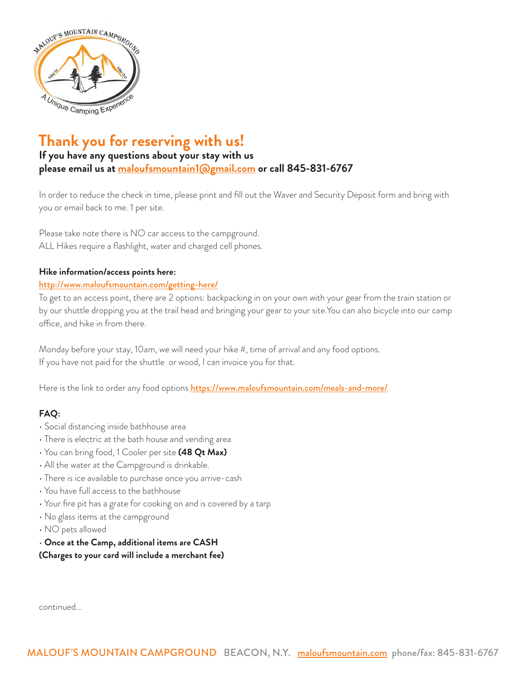

# **Thank you for reserving with us!**

## **If you have any questions about your stay with us please email us at [maloufsmountain1@gmail.com](mailto:maloufsmountain1%40gmail.com?subject=) or call 845-831-6767**

In order to reduce the check in time, please print and fill out the Waver and Security Deposit form and bring with you or email back to me. 1 per site.

Please take note there is NO car access to the campground. ALL Hikes require a flashlight, water and charged cell phones.

#### **Hike information/access points here:**

#### <http://www.maloufsmountain.com/getting-here/>

To get to an access point, there are 2 options: backpacking in on your own with your gear from the train station or by our shuttle dropping you at the trail head and bringing your gear to your site.You can also bicycle into our camp office, and hike in from there.

Monday before your stay, 10am, we will need your hike #, time of arrival and any food options. If you have not paid for the shuttle or wood, I can invoice you for that.

Here is the link to order any food options <https://www.maloufsmountain.com/meals-and-more/>

### **FAQ:**

- Social distancing inside bathhouse area
- There is electric at the bath house and vending area
- You can bring food, 1 Cooler per site **(48 Qt Max)**
- All the water at the Campground is drinkable.
- There is ice available to purchase once you arrive-cash
- You have full access to the bathhouse
- Your fire pit has a grate for cooking on and is covered by a tarp
- No glass items at the campground
- NO pets allowed
- **Once at the Camp, additional items are CASH**
- **(Charges to your card will include a merchant fee)**

continued...